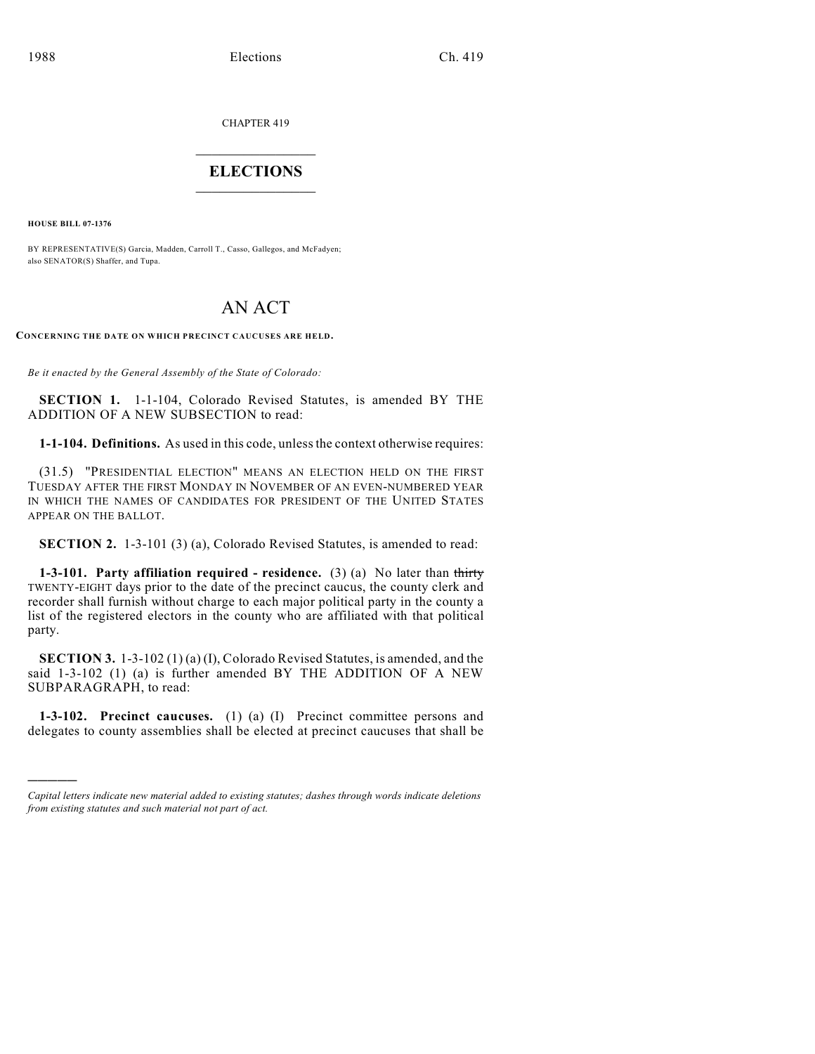CHAPTER 419

## $\overline{\phantom{a}}$  . The set of the set of the set of the set of the set of the set of the set of the set of the set of the set of the set of the set of the set of the set of the set of the set of the set of the set of the set o **ELECTIONS**  $\_$

**HOUSE BILL 07-1376**

)))))

BY REPRESENTATIVE(S) Garcia, Madden, Carroll T., Casso, Gallegos, and McFadyen; also SENATOR(S) Shaffer, and Tupa.

## AN ACT

**CONCERNING THE DATE ON WHICH PRECINCT CAUCUSES ARE HELD.**

*Be it enacted by the General Assembly of the State of Colorado:*

**SECTION 1.** 1-1-104, Colorado Revised Statutes, is amended BY THE ADDITION OF A NEW SUBSECTION to read:

**1-1-104. Definitions.** As used in this code, unless the context otherwise requires:

(31.5) "PRESIDENTIAL ELECTION" MEANS AN ELECTION HELD ON THE FIRST TUESDAY AFTER THE FIRST MONDAY IN NOVEMBER OF AN EVEN-NUMBERED YEAR IN WHICH THE NAMES OF CANDIDATES FOR PRESIDENT OF THE UNITED STATES APPEAR ON THE BALLOT.

**SECTION 2.** 1-3-101 (3) (a), Colorado Revised Statutes, is amended to read:

**1-3-101. Party affiliation required - residence.** (3) (a) No later than thirty TWENTY-EIGHT days prior to the date of the precinct caucus, the county clerk and recorder shall furnish without charge to each major political party in the county a list of the registered electors in the county who are affiliated with that political party.

**SECTION 3.** 1-3-102 (1) (a) (I), Colorado Revised Statutes, is amended, and the said 1-3-102 (1) (a) is further amended BY THE ADDITION OF A NEW SUBPARAGRAPH, to read:

**1-3-102. Precinct caucuses.** (1) (a) (I) Precinct committee persons and delegates to county assemblies shall be elected at precinct caucuses that shall be

*Capital letters indicate new material added to existing statutes; dashes through words indicate deletions from existing statutes and such material not part of act.*